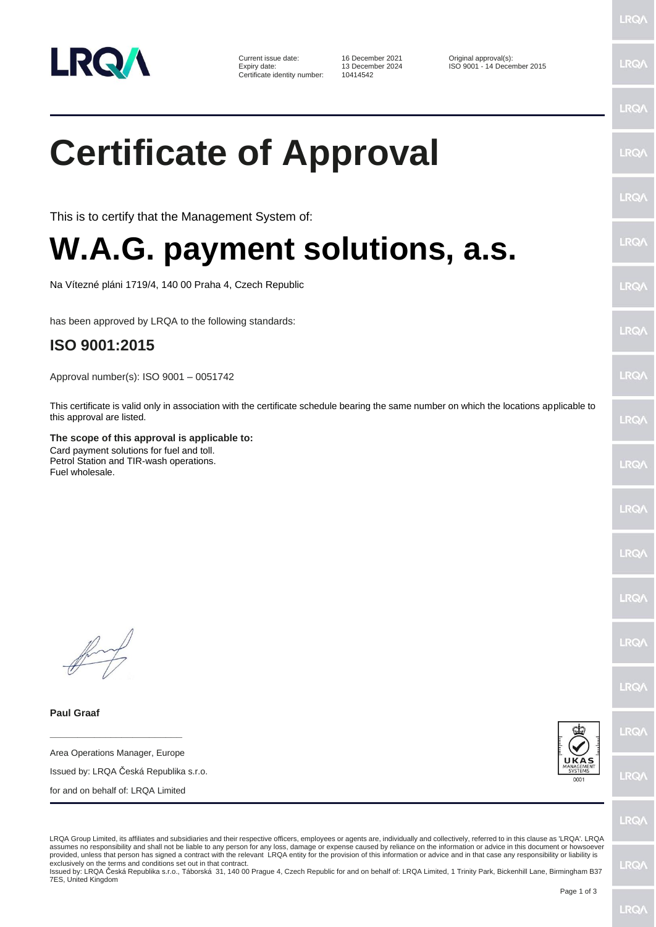

Current issue date: 16 December 2021 0riginal approval(s):<br>
Expiry date: 13 December 2024 150 9001 - 14 December Certificate identity number:

13 December 2024 ISO 9001 - 14 December 2015<br>10414542

**LRQ/** 

## LRQ/ **Certificate of Approval** LRQ/ LRQ/ This is to certify that the Management System of: **W.A.G. payment solutions, a.s.** LRQ/ Na Vítezné pláni 1719/4, 140 00 Praha 4, Czech Republic LRQ/ has been approved by LRQA to the following standards: LRQ/ **ISO 9001:2015** LRQ/ Approval number(s): ISO 9001 – 0051742 This certificate is valid only in association with the certificate schedule bearing the same number on which the locations applicable to this approval are listed. LRQ/ **The scope of this approval is applicable to:** Card payment solutions for fuel and toll. Petrol Station and TIR-wash operations. LRQ/ Fuel wholesale.LRQ/ LRQ/ LRQ/ LRQ/ LRQ/ **Paul Graaf** LRQ/ **\_\_\_\_\_\_\_\_\_\_\_\_\_\_\_\_\_\_\_\_\_\_\_\_** Area Operations Manager, Europe Issued by: LRQA Česká Republika s.r.o. **LRQ/** for and on behalf of: LRQA Limited **LRO/** LRQA Group Limited, its affiliates and subsidiaries and their respective officers, employees or agents are, individually and collectively, referred to in this clause as 'LRQA'. LRQA

assumes no responsibility and shall not be liable to any person for any loss, damage or expense caused by reliance on the information or advice in this document or howsoever provided, unless that person has signed a contract with the relevant LRQA entity for the provision of this information or advice and in that case any responsibility or liability is exclusively on the terms and conditions set out in that contract.

Issued by: LRQA Česká Republika s.r.o., Táborská 31, 140 00 Prague 4, Czech Republic for and on behalf of: LRQA Limited, 1 Trinity Park, Bickenhill Lane, Birmingham B37 7ES, United Kingdom

LRQ/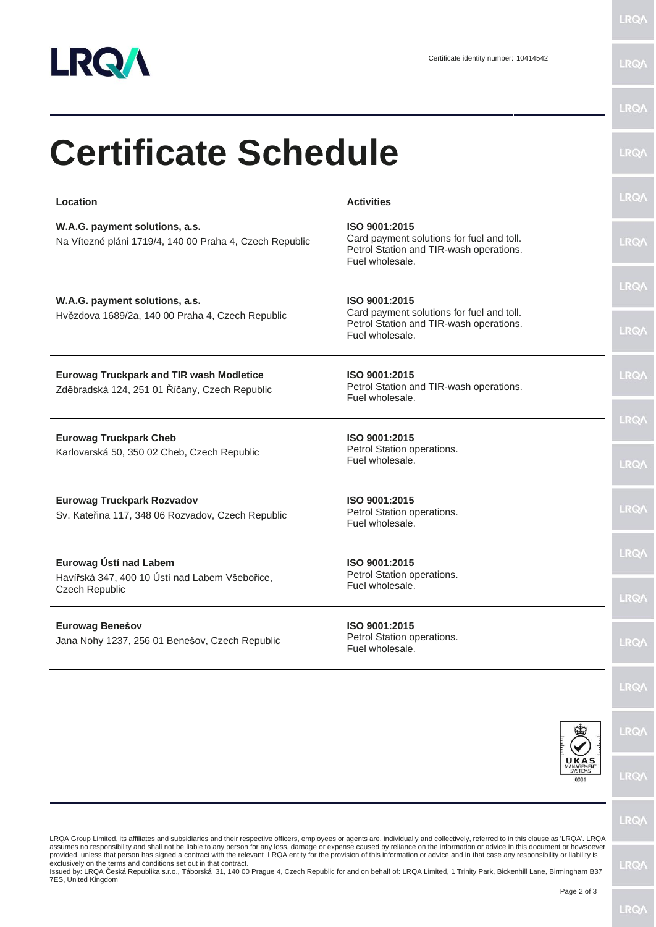

**LRQA** 

| Location                                                                                         | <b>Activities</b>                                                                                                        | <b>LRQA</b>                |
|--------------------------------------------------------------------------------------------------|--------------------------------------------------------------------------------------------------------------------------|----------------------------|
| W.A.G. payment solutions, a.s.<br>Na Vítezné pláni 1719/4, 140 00 Praha 4, Czech Republic        | ISO 9001:2015<br>Card payment solutions for fuel and toll.<br>Petrol Station and TIR-wash operations.<br>Fuel wholesale. | <b>LRQA</b>                |
| W.A.G. payment solutions, a.s.<br>Hvězdova 1689/2a, 140 00 Praha 4, Czech Republic               | ISO 9001:2015<br>Card payment solutions for fuel and toll.<br>Petrol Station and TIR-wash operations.<br>Fuel wholesale. | <b>LRQA</b><br><b>LRQA</b> |
| <b>Eurowag Truckpark and TIR wash Modletice</b><br>Zděbradská 124, 251 01 Říčany, Czech Republic | ISO 9001:2015<br>Petrol Station and TIR-wash operations.<br>Fuel wholesale.                                              | <b>LRQA</b>                |
| <b>Eurowag Truckpark Cheb</b><br>Karlovarská 50, 350 02 Cheb, Czech Republic                     | ISO 9001:2015<br>Petrol Station operations.<br>Fuel wholesale.                                                           | <b>LRQA</b><br><b>LRQA</b> |
| <b>Eurowag Truckpark Rozvadov</b><br>Sv. Kateřina 117, 348 06 Rozvadov, Czech Republic           | ISO 9001:2015<br>Petrol Station operations.<br>Fuel wholesale.                                                           | <b>LRQA</b>                |
| Eurowag Ústí nad Labem<br>Havířská 347, 400 10 Ústí nad Labem Všebořice,<br>Czech Republic       | ISO 9001:2015<br>Petrol Station operations.<br>Fuel wholesale.                                                           | <b>LRQA</b><br>LRQ/        |
| <b>Eurowag Benešov</b><br>Jana Nohy 1237, 256 01 Benešov, Czech Republic                         | ISO 9001:2015<br>Petrol Station operations.<br>Fuel wholesale.                                                           | <b>LRQA</b>                |
|                                                                                                  |                                                                                                                          | <b>LRQA</b>                |
|                                                                                                  |                                                                                                                          | <b>LRQA</b>                |
|                                                                                                  | UKAS<br>MANAGEMENT<br>0001                                                                                               | <b>LRQA</b>                |
|                                                                                                  |                                                                                                                          | <b>LRQA</b>                |

provided, unless that person has signed a contract with the relevant\_LRQA entity for the provision of this information or advice and in that case any responsibility or liability is<br>exclusively on the terms and conditions s